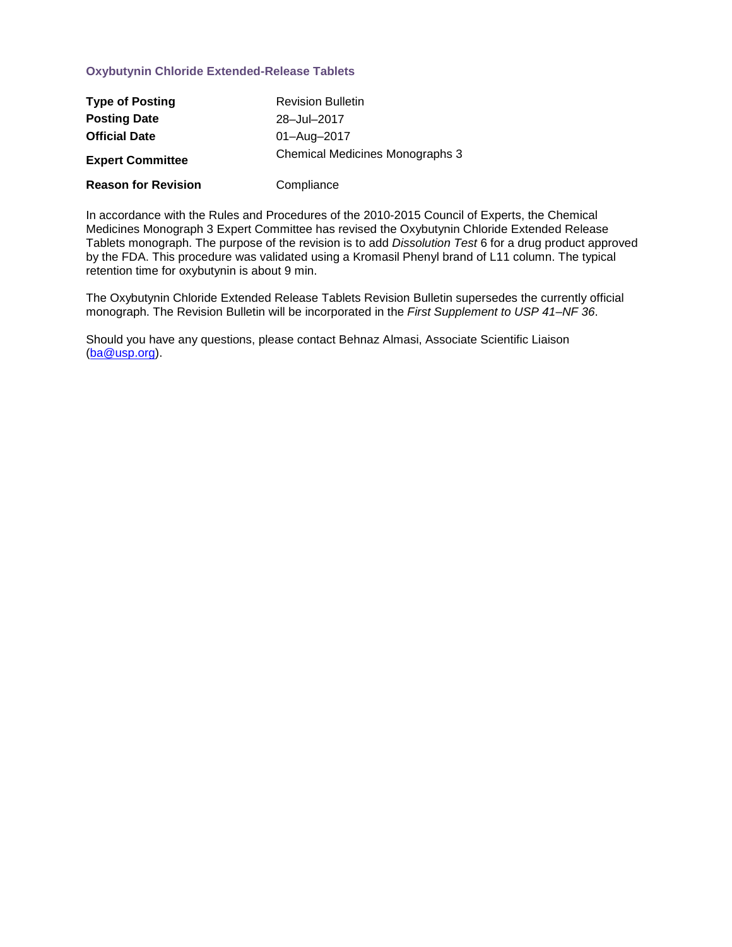### **Oxybutynin Chloride Extended-Release Tablets**

| <b>Type of Posting</b>     | <b>Revision Bulletin</b>               |
|----------------------------|----------------------------------------|
| <b>Posting Date</b>        | 28-Jul-2017                            |
| <b>Official Date</b>       | 01-Aug-2017                            |
| <b>Expert Committee</b>    | <b>Chemical Medicines Monographs 3</b> |
| <b>Reason for Revision</b> | Compliance                             |

In accordance with the Rules and Procedures of the 2010-2015 Council of Experts, the Chemical Medicines Monograph 3 Expert Committee has revised the Oxybutynin Chloride Extended Release Tablets monograph. The purpose of the revision is to add *Dissolution Test* 6 for a drug product approved by the FDA. This procedure was validated using a Kromasil Phenyl brand of L11 column. The typical retention time for oxybutynin is about 9 min.

The Oxybutynin Chloride Extended Release Tablets Revision Bulletin supersedes the currently official monograph. The Revision Bulletin will be incorporated in the *First Supplement to USP 41–NF 36*.

Should you have any questions, please contact Behnaz Almasi, Associate Scientific Liaison [\(ba@usp.org\)](mailto:ba@usp.org).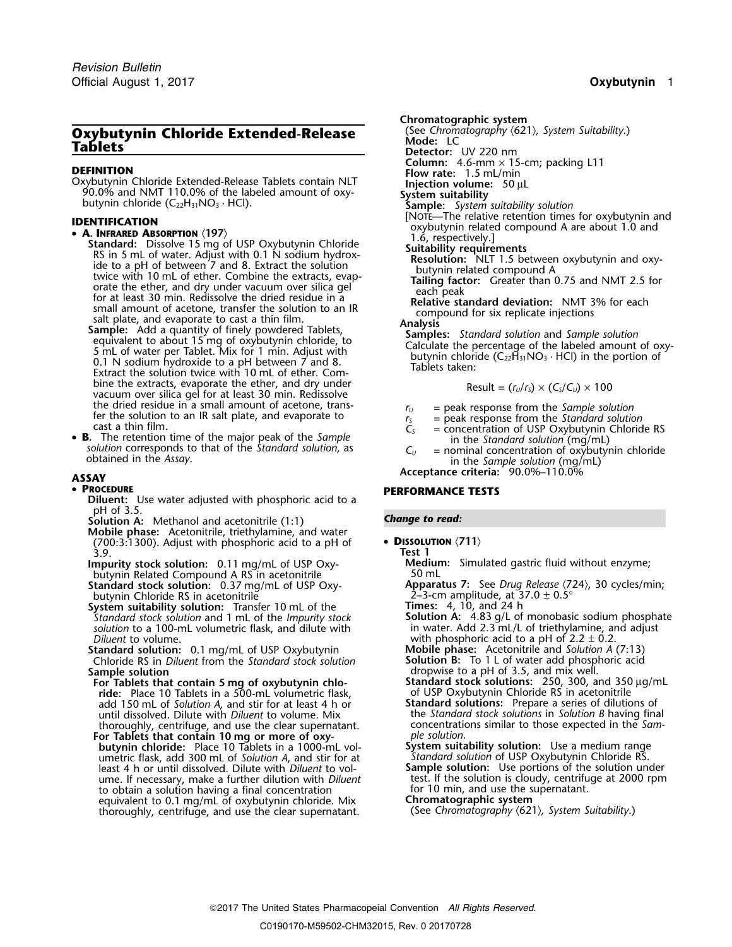# **Oxybutynin Chloride Extended-Release** (See Chromatography **Chloride Extended-Release** (See Chromatography **Contability**<br>Tablets

**COLUMN: Column:** 110.0% **COLUMN:** DEFINITION<br>
Oxybutynin Chloride Extended-Release Tablets contain NLT<br>
90.0% and NMT 110.0% of the labeled amount of oxy-<br> **System suitability**<br>
System suitability 90.0% and NMT 110.0% of the labeled amount of oxy-<br>butynin chloride (C<sub>22</sub>H<sub>31</sub>NO<sub>3</sub> · HCl). **Sample:** *System suitability solution* **Sample:** *System suitability solution* 

• **A. INFRARED ABSORPTION** (197)<br> **Standard:** Dissolve 15 mg of USP Oxybutynin Chloride<br>
RS in 5 mL of water. Adjust with 0.1 N sodium hydrox-<br>
ide to a pH of between 7 and 8. Extract the solution<br>
twice with 10 mL of eth

bine the extracts, evaporate the ether, and dry under vacuum over silica gel for at least 30 min. Redissolve the dried residue in a small amount of acetone, transthe dried residue in a small amount of acetone, trans-<br>fer the solution to an IR salt plate, and evaporate to<br>cast a thin film.<br> $C_S$  = concentration of USP Oxybutynin Chlorid

• **B.** The retention time of the major peak of the Sample **s.** The retention time of the major peak of the *sample*<br>solution corresponds to that of the *Standard solution*, as  $C_U$  = nominal concentration of oxybutynin chloride<br>obtained in the *Assay*.

### •

**Diluent:** Use water adjusted with phosphoric acid to a pH of 3.5.

**Solution A:** *Change to read:* Methanol and acetonitrile (1:1)

**Mobile phase:** Acetonitrile, triethylamine, and water (700:3:1300). Adjust with phosphoric acid to a pH of • **<sup>D</sup>ISSOLUTION** 〈**711**〉 3.9. **Test 1**

butynin Related Compound A RS in acetonitrile<br>Standard stock solution: 0.37 mq/mL of USP Oxy-

butynin Chloride RS in acetonitrile

**System suitability solution:** Transfer 10 mL of the *Standard stock solution* and 1 mL of the *Impurity stock* solution to a 100-mL volumetric flask, and dilute with *Diluent* to volume.<br> *Diluent* to volume. 0.1 mg/mL of USP Oxybutynin **Wobile phase:** Acetonitrile and Solution A (7:13)

**Standard solution:** 0.1 mg/mL of USP Oxybutynin **Mobile phase:** Acetonitrile and *Solution A* (7:13) **Chloride RS** in *Diluent* from the *Standard stock solution* **Solution B:** To 1 L of water add phosphoric acid Chloride RS in *Diluent* from the *Standard stock solution* **Sample solution Sample solution dropwise to a pH of 3.5, and mix well.** 

**For Tablets that contain 5 mg of oxybutynin chlo-**<br> **ride:** Place 10 Tablets in a 500-mL volumetric flask, of USP Oxybutynin Chloride RS in acetonitrile<br>
add 150 mL of Solution A, and stir for at least 4 h or **Standard so** add 150 mL of *Solution A*, and stir for at least 4 h or **Standard solutions:** Prepare a series of dilutions of until dissolved. Dilute with *Diluent* to volume. Mix thoroughly, centrifuge, and use the clear supernatant. concentrations similar to those expected in the *Sam-*

**For Tablets that contain 10 mg or more of oxy-** *<sup>p</sup>le solution*. **butynin chloride:** Place 10 Tablets in a 1000-mL vol-<br>umetric flask, add 300 mL of *Solution A*, and stir for at *Standard solution* of USP Oxybutynin Chloride RS. umetric flask, add 300 mL of *Solution A*, and stir for at *Standard solution* of USP Oxybutynin Chloride RS. least 4 h or until dissolved. Dilute with *Diluent* to vol- **Sample solution:** Use portions of the solution under ume. If necessary, make a further dilution with *Diluent* to volume. If necessary, make a further dilution with *Diluent* test. If the solution is cloudy, centrifuge at 2000 rpm to obtain a solution having a final concentr to obtain a solution having a final concentration for 10 min, and use the s<br>equivalent to 0.1 mq/mL of oxybutynin chloride. Mix **Chromatographic system** equivalent to 0.1 mg/mL of oxybutynin chloride. Mix **Chromatographic system**<br>thoroughly, centrifuge, and use the clear supernatant. (See Chromatography (621), System Suitability.) thoroughly, centrifuge, and use the clear supernatant.

**Chromatographic system**<br>(See Chromatography  $(621)$ , System Suitability.)

**Detector:** UV 220 nm<br>**Column:** 4.6-mm × 15-cm; packing L11

- **IDENTIFICATION**<br> **IDENTIFICATION**<br> **A. INFRARED ABSORPTION** (197)<br> **EXECUTE:** Charge Charge Charge and a sepectively.]<br>
1.6, respectively.]
	-
	-
	-

$$
Result = (r_U/r_S) \times (C_S/C_U) \times 100
$$

- 
- 
- = concentration of USP Oxybutynin Chloride RS
- 

**Acceptance criteria:** 90.0%–110.0% **ASSAY**

### **PROCEDURE PERFORMANCE TESTS**

**Impurity stock solution:** 0.11 mg/mL of USP Oxy- **Medium:** Simulated gastric fluid without enzyme;

**Apparatus 7:** See *Drug Release*  $\langle 724 \rangle$ , 30 cycles/min; 2-3-cm amplitude, at 37.0  $\pm$  0.5°

**Standard stock solution**<br>**Solution A:** 4.83 g/L of monobasic sodium phosphate<br>in water. Add 2.3 mL/L of triethylamine, and adjust

**For Table 1 For Table 1 Contained Stock solutions:** 250, 300, and 350 µg/mL of USP Oxybutynin Chloride RS in acetonitrile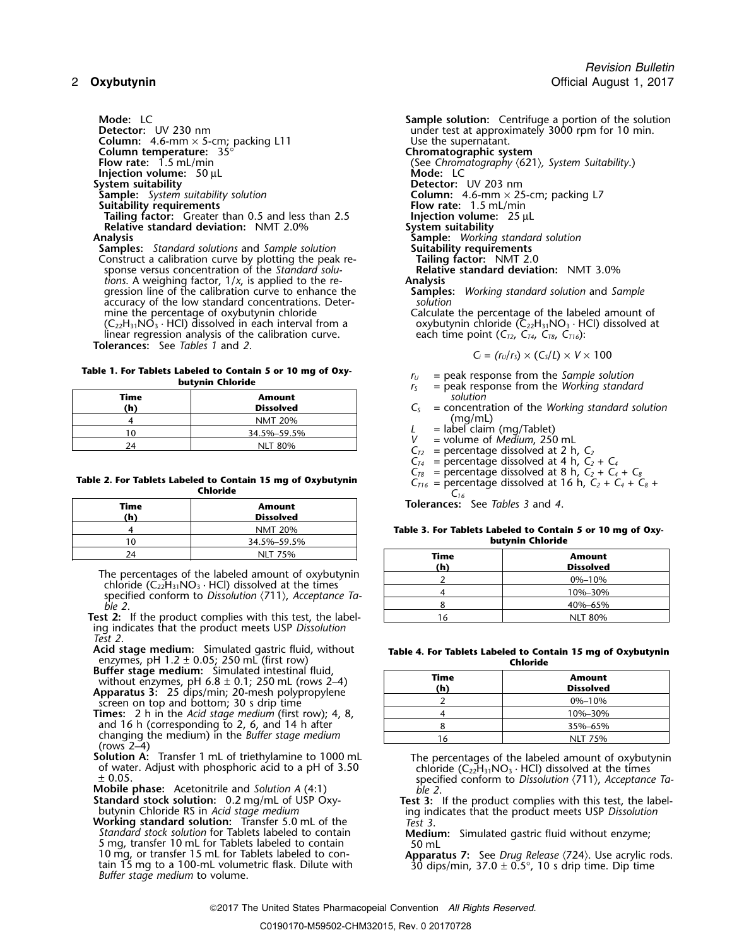**Column:** 4.6-mm  $\times$  5-cm; packing L11 **Column temperature:**  $35^\circ$ **Column temperature:**  $35^\circ$  **Chromatographic system**<br>**Flow rate:** 1.5 mL/min **COLUM** (See Chromatography (621 **Injection volume:** 50 µL<br> **Injection volume:** 50 µL<br> **Injection:** UV 203 nm **System suitability**<br>**Sample:** System suitability solution **Suitability requirements**<br> **Flow rate:** 1.5 mL/min<br> **Failing factor:** Greater than 0.5 and less than 2.5 **Figure 1.5 million injection volume:** 25 µL **Tailing factor:** Greater than 0.5 and less than 2.5 **Injection volume**<br>**Relative standard deviation:** NMT 2.0% **System suitability Relative standard deviation:** NMT 2.0%<br>**Analysis** 

**Samples:** *Standard solutions* and *Sample solution* **Suitability requirements Construct a calibration curve by plotting the peak re- Tailing factor:** NMT 2.0 Construct a calibration curve by plotting the peak re- **Tailing factor:** NMT 2.0 sponse versus concentration of the *Standard solu-* **Relative standard deviation:** NMT 3.0% *tions*. A weighing factor,  $1/x$ , is applied to the re- **Analysis** gression line of the calibration curve to enhance the **Sample** accuracy of the low standard concentrations. Deter-<br>mine the percentage of oxybutynin chloride  $(C_{22}H_{31}NO_3 \cdot HCl)$  dissolved in each interval from a same oxybutynin chloride (C<sub>22</sub>H<sub>31</sub>NO<sub>3</sub> · HCl) dissolved in each interval from a same each time point (C<sub>T2</sub>, C<sub>T4</sub>, C<sub>T8</sub>, C<sub>T16</sub>): linear regression analysis of the calibration curve.

**Tolerances:** See *Tables 1* and *2*.

**Table 1. For Tablets Labeled to Contain 5 or 10 mg of Oxy-**<br>**butynin Chloride butynin Chloride** *r***<sub>S</sub>** = peak response from the *Working standard r*<sub>S</sub> = peak response from the *Working standard* 

| Time<br>(h) | <b>Amount</b><br><b>Dissolved</b> | Province-<br>solution<br>= concentr |
|-------------|-----------------------------------|-------------------------------------|
|             | <b>NMT 20%</b>                    | (mg/ml                              |
|             | 34.5%-59.5%                       | = label clai                        |
|             | <b>NLT 80%</b>                    | $=$ volume $\alpha$<br>$-$ porconta |

### Table 2. For Tablets Labeled to Contain 15 mg of Oxybutynin<br>Chi ch, C<sub>2</sub> + C<sub>4</sub> + C<sub>8</sub> + C<sub>4</sub> + C<sub>6</sub> + C<sub>16</sub> = percentage dissolved at 16 h, C<sub>2</sub> + C<sub>4</sub> + C<sub>8</sub> + **Chloride** *<sup>C</sup><sup>16</sup>*

| Time<br>(h) | <b>Amount</b><br><b>Dissolved</b> |
|-------------|-----------------------------------|
|             | <b>NMT 20%</b>                    |
|             | 34.5%-59.5%                       |
| 24          | <b>NLT 75%</b>                    |

The percentages of the labeled amount of oxybutynin chloride  $(C_{22}H_{31}NO_3 \cdot HCl)$  dissolved at the times specified conform to *Dissolution*  $\langle 711 \rangle$ , *Acceptance Ta-ble 2*. *ble 2*. 8 40%–65%

Test 2: If the product complies with this test, the labeling indicates that the product meets USP *Dissolution Test 2*.

**Acid stage medium:** Simulated gastric fluid, without enzymes, pH 1.2 ± 0.05; 250 mL (first row) **Chloride Buffer stage medium:** Simulated intestinal fluid,

without enzymes, pH 6.8 ± 0.1; 250 mL (rows 2–4) **Apparatus 3:** 25 dips/min; 20-mesh polypropylene screen on top and bottom; 30 s drip time

**Times:** 2 h in the *Acid stage medium* (first row); 4, 8, and 16 h (corresponding to 2, 6, and 14 h after changing the medium) in the *Buffer stage medium*<br>(rows 2–4)<br>**Solution A:** Transfer 1 mL of triethylamine to 1000 mL

**Example conformal conformal conform to** *Die 2***.<br>Standard stock solution: 0.2 mg/mL of USP Oxy-<br>Test 3:** 

**Working standard solution:** Transfer 5.0 mL of the *Standard stock solution* for Tablets labeled to contain *Standard stock solution* for Tablets labeled to contain **Medium:** Simulated gastric fluid without enzyme;<br>5 mg, transfer 10 mL for Tablets labeled to contain 50 mL<br>10 mg, or transfer 15 mL for Tablets labeled to con-**Appa** 10 mg, or transfer 15 mL for Tablets labeled to con-<br>tain 15 mg to a 100-mL volumetric flask. Dilute with 30 dips/min,  $37.0 \pm 0.5^{\circ}$ , 10 s drip time. Dip time<br>Buffer stage medium to volume.

**Mode:** LC<br> **Detector:** UV 230 nm<br> **Detector:** UV 230 nm<br> **Sample solution:** Centrifuge a portion of the solution<br>
under test at approximately 3000 rpm for 10 min. under test at approximately 3000 rpm for 10 min.<br>Use the supernatant. **Flow rate:** 1.5 mL/min (See *Chromatography* 〈621〉*, System Suitability*.) **Solumn:** 4.6-mm × 25-cm; packing L7<br>**Flow rate:** 1.5 mL/min **Analysis Sample:** *Working standard solution* **Samples:** Working standard solution and *Sample* solution Calculate the percentage of the labeled amount of oxybutynin chloride  $(C_{22}H_{31}NO_3 \cdot HCl)$  dissolved at

$$
C_i = (r_U/r_S) \times (C_S/L) \times V \times 100
$$

- 
- 
- **(h) Dissolved** *C<sup>S</sup>* = concentration of the *Working standard solution*
- $L =$  label claim (mg/Tablet)
- 
- $V =$  volume of *Medium*, 250 mL<br> $C_{T2} =$  percentage dissolved at 2 h,  $C_2$
- 
- $C_{T4}$  = percentage dissolved at 4 h,  $C_2 + C_4$ <br> $C_{T8}$  = percentage dissolved at 8 h,  $C_2 + C_4 + C_8$
- 
- 

**Tolerances:** See *Tables 3* and 4.

Table 3. For Tablets Labeled to Contain 5 or 10 mg of Oxy**butynin Chloride** 

| 24                                                                                                               | NLT 75%                                                        | Time    | Amount           |
|------------------------------------------------------------------------------------------------------------------|----------------------------------------------------------------|---------|------------------|
|                                                                                                                  |                                                                | (h)     | <b>Dissolved</b> |
|                                                                                                                  | ercentages of the labeled amount of oxybutynin                 |         | $0\% - 10\%$     |
| ride $(C_{22}H_{31}NO_3 \cdot HCl)$ dissolved at the times<br>ified conform to Dissolution (711), Acceptance Ta- |                                                                | 10%-30% |                  |
|                                                                                                                  |                                                                | 40%-65% |                  |
|                                                                                                                  | If the product complies with this test, the label-             |         | <b>NLT 80%</b>   |
|                                                                                                                  | Masara Albarata a sa albar as sa an I <b>TAD D'</b> asal A'asa |         |                  |

|  |          |  | Table 4. For Tablets Labeled to Contain 15 mg of Oxybutynin |
|--|----------|--|-------------------------------------------------------------|
|  | Chloride |  |                                                             |

| Time<br>(h) | <b>Amount</b><br><b>Dissolved</b> |
|-------------|-----------------------------------|
|             | 0%-10%                            |
|             | 10%-30%                           |
|             | 35%-65%                           |
| 6           | <b>NLT 75%</b>                    |

**Solution A:** Transfer 1 mL of triethylamine to 1000 mL The percentages of the labeled amount of oxybutynin of water. Adjust with phosphoric acid to a pH of 3.50 chloride (C<sub>22</sub>H<sub>31</sub>NO<sub>3</sub> · HCl) dissolved at the times  $\pm$ 

**Standard stock solution:** 0.2 mg/mL of USP Oxy-<br>butynin Chloride RS in *Acid stage medium*<br>**Working standard solution:** Transfer 5.0 mL of the Test 3.<br>**Norking standard solution:** Transfer 5.0 mL of the Test 3.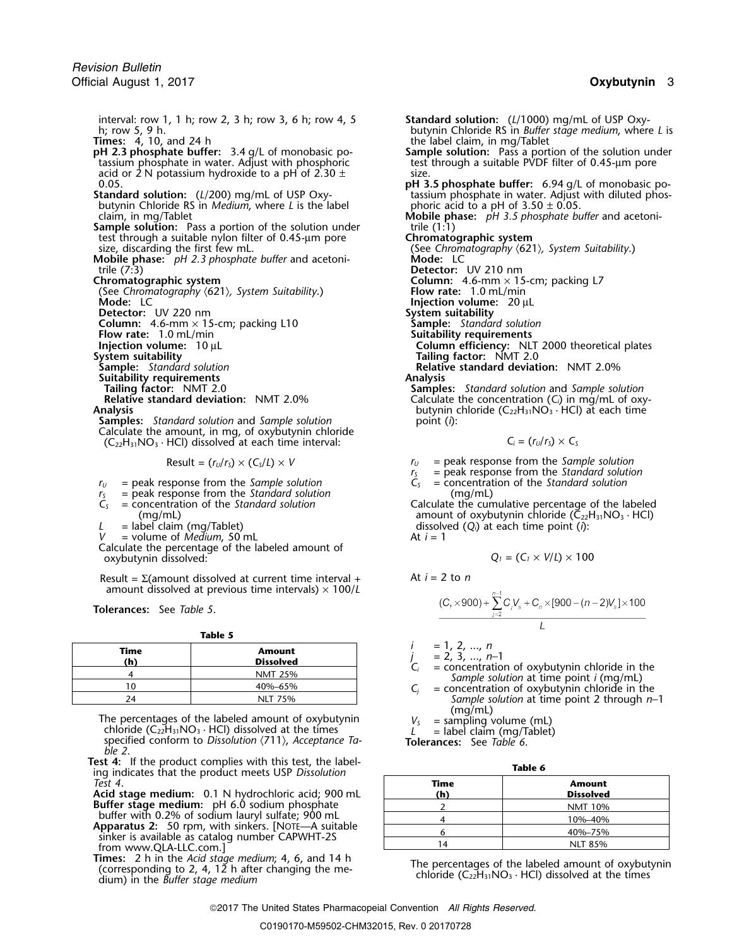interval: row 1, 1 h; row 2, 3 h; row 3, 6 h; row 4, 5 **Standard solution:** (*L*/1000) mg/mL of USP Oxy-

the 2.3 phosphate buffer: 3.4 g/L of monobasic potassium phosphate in water. Adjust with phosphoric acid or 2 N potassium hydroxide to a pH of 2.30  $\pm$  size.<br>**pH 3** 

- butynin Chloride RS in *Medium*, where *L* is the label phoric acid to a pH of 3.50 ± 0.05.
- **Sample solution:** Pass a portion of the solution under **trile (1:1)** test through a suitable nylon filter of 0.45-µm pore **Chromatographic system**
- **Mobile phase:**  $pH$  2.3 *phosphate buffer* and acetonitrile (7:3) trile (7:3) **Detector:** UV 210 nm

- (See Chromatography  $\langle 621 \rangle$ , System Suitability.) **Mode:** LC
- **Detector:** UV 220 nm
- 
- **Flow rate:** 1.0 mL/min<br>**Injection volume:** 10 µL

- 
- **Sample:** *Standard solution*<br>**Suitability requirements**<br>**Tailing factor:** NMT 2.0

**Samples:** *Standard solution* and *Sample solution* Calculate the amount, in mg, of oxybutynin chloride  $(C_{22}H_{31}NO_3 \cdot HCl)$  dissolved at each time interval:

Result = 
$$
(r_U/r_s) \times (C_s/L) \times V
$$

- $r_U$  = peak response from the *Sample solution*  $C_S$
- $r_s$  = peak response from the *Standard solution*  $C_s$  = concentration of the *Standard solution* (mg/mL)
- 

- 
- $=$  volume of *Medium*, 50 mL

Calculate the percentage of the labeled amount of  $\alpha$ *xybutynin dissolved:* 

Result = Σ(amount dissolved at current time interval + At *<sup>i</sup>* = 2 to *<sup>n</sup>* amount dissolved at previous time intervals)  $\times$  100/*L* 

**Tolerances:** See *Table 5*.

**Table 5**

| Time | Amount<br><b>Dissolved</b> | $= 1, 2, , n$<br>$= 2, 3, , n-1$                                                                  |  |
|------|----------------------------|---------------------------------------------------------------------------------------------------|--|
|      | <b>NMT 25%</b>             | $=$ concentration of oxybutynin chloride in the<br>Sample solution at time point <i>i</i> (mg/mL) |  |
|      | 40%-65%                    | = concentration of oxybutynin chloride in the                                                     |  |
|      | NLT 75%                    | Sample solution at time point 2 through n                                                         |  |

The percentages of the labeled amount of oxybutynin  $V_s$  = sampling volume (mL) chloride (C<sub>22</sub>H<sub>31</sub>NO<sub>3</sub> · HCl) dissolved at the times *L* = label claim (mg/Tablet) specified conform to *Dissolution*  $\langle 711 \rangle$ , *Accepta* specified conform to *Dissolution*  $\langle 711 \rangle$ , *Acceptance Table 2*.

**Test 4:** If the product complies with this test, the label-<br>
ing indicates that the product meets USP *Dissolution*<br>
Test 4. *Test 4*. **Time Amount**

**Acid stage medium:** 0.1 N hydrochloric acid; 900 mL **Buffer stage medium:** pH 6.0 sodium phosphate

buffer with 0.2% of sodium lauryl sulfate; 900 mL<br>**Apparatus 2:** 50 rpm, with sinkers. [NOTE—A suitable sinker is available as catalog number CAPWHT-2S from www.QLA-LLC.com.]

**Times:** 2 h in the Acid stage medium; 4, 6, and 14 h<br>(corresponding to 2, 4, 12 h after changing the me-<br>dium) in the *Buffer stage medium*<br>dium) in the *Buffer stage medium* 

h; row 5, 9 h. butynin Chloride RS in *Buffer stage medium*, where *L* is **Times:** 4, 10, and 24 h the label claim, in mg/Tablet **Sample solution:** Pass a portion of the solution under test through a suitable PVDF filter of 0.45-µm pore **pH 3.5 phosphate buffer:** 6.94 g/L of monobasic po-<br>tassium phosphate in water. Adjust with diluted phos-**Standard solution:** (*L*/200) mg/mL of USP Oxy- tassium phosphate in water. Adjust with diluted phosclaim, in mg/Tablet **Mobile phase:** *pH 3.5 phosphate buffer* and acetonisize, discarding the first few mL.<br> **Subset by the first few mL.** (See *Chromatography*  $(621)$ *, System Suitability.*)<br> **Mode:** LC **Column:** 4.6-mm × 15-cm; packing L7<br>**Flow rate:** 1.0 mL/min **Injection volume:** 20 µL<br>**System suitability**<br>**Sample:** Standard solution **Column:** 4.6-mm × 15-cm; packing L10 **Sample:** *Standard solutic* Flow rate: 1.0 mL/min **Sultime: Suitability requirements Injection volume:** 10 µL **Column efficiency:** NLT 2000 theoretical plates **System suitability Tailing factor:** NMT 2.0 **Relative standard deviation:** NMT 2.0%<br>**Analysis Tailing factor:** NMT 2.0 **Samples:** *Standard solution* and *Sample solution*

**Relative standard deviation:** NMT 2.0% Calculate the concentration (*C<sub>i</sub>*) in mg/mL of oxy-<br>butynin chloride (C<sub>22</sub>H<sub>31</sub>NO<sub>3</sub> · HCl) at each time butynin chloride (C<sub>22</sub>H<sub>31</sub>NO<sub>3</sub> · HCl) at each time point (*i*):

$$
C_i = (r_U/r_S) \times C_S
$$

 $r_U$  = peak response from the *Sample solution* 

 $r_s$  = peak response from the *Standard solution*<br> $C_s$  = concentration of the *Standard solution* 

*C<sup>S</sup>* = concentration of the *Standard solution* Calculate the cumulative percentage of the labeled (mg/mL) amount of oxybutynin chloride (C $_{22}$ H $_{31}$ NO $_{3}$   $\cdot$  HCl)  $L =$  label claim (mg/Tablet) dissolved  $(Q_i)$  at each time point (*i*): dissolved  $(Q_i)$  at each time point (*i*):

$$
Q_1 = (C_1 \times V/L) \times 100
$$

$$
\frac{(C_{1} \times 900) + \sum_{j=2}^{n-1} C_{j}V_{s} + C_{n} \times [900 - (n-2)V_{s}] \times 100}{I}
$$

$$
= 1, 2, ..., n
$$

- 
- *Sample solution* at time point 2 through *n*−1 (mg/mL)
- 

| ۰.<br>۰.<br>M. |
|----------------|
|----------------|

| Time<br>(h) | <b>Amount</b><br><b>Dissolved</b> |
|-------------|-----------------------------------|
|             | <b>NMT 10%</b>                    |
|             | 10%-40%                           |
|             | 40%-75%                           |
| 14          | <b>NLT 85%</b>                    |

2017 The United States Pharmacopeial Convention *All Rights Reserved.*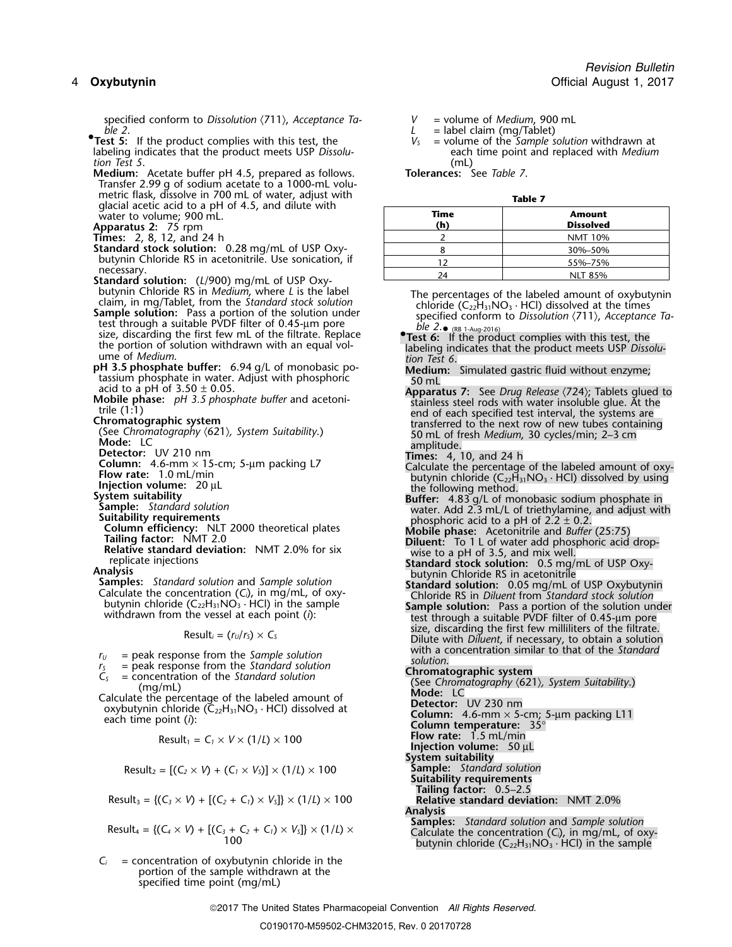specified conform to *Dissolution*  $\langle 711 \rangle$ , *Acceptance Ta-*<br>*L* = label claim (mg/Tablet)<br>*L* = label claim (mg/Tablet)

- *ble 2*. *<sup>L</sup>* = label claim (mg/Tablet) **•.Test 5:** If the product complies with this test, the *V<sup>S</sup>* = volume of the *Sample solution* withdrawn at labeling indicates that the product meets USP *Dissolu*-<br>
tion Test 5.<br>
(mL)<br>
(mL) *tion Test 5*. (mL)
- **Medium:** Acetate buffer pH 4.5, prepared as follows. **Tolerances:** See *Table 7*. Transfer 2.99 g of sodium acetate to a 1000-mL volumetric flask, dissolve in 700 mL of water, adjust with **Table 7** glacial acetic acid to a pH of 4.5, and dilute with water to volume; 900 mL.
- 

- **Standard stock solution:** 0.28 mg/mL of USP Oxybutynin Chloride RS in acetonitrile. Use sonication, if necessary.
- **Standard solution:** (*L*/900) mg/mL of USP Oxy-<br>butynin Chloride RS in *Medium*, where *L* is the label
- size, discarding the first few mL of the filtrate. Replace the portion of solution withdrawn with an equal vol-
- 
- 
- 

- 
- 
- 
- 
- 
- 
- 
- 
- 

- 
- 
- 
- 

$$
Result_1 = C_1 \times V \times (1/L) \times 100
$$

Result<sub>2</sub> = 
$$
[(C_2 \times V) + (C_1 \times V_s)] \times (1/L) \times 100
$$
 Sample: Standard solution

Result<sub>3</sub> = {
$$
(C_3 \times V)
$$
 + [( $C_2 + C_1$ ) ×  $V_5$ ]} × (1/*L*) × 100

$$
Result_4 = \{(C_4 \times V) + [(C_3 + C_2 + C_1) \times V_5] \} \times (1/L) \times
$$

 $C_i$  = concentration of oxybutynin chloride in the portion of the sample withdrawn at the specified time point (mg/mL)

| glacial acetic acid to a pH of 4.5, and dilute with                                                                                                                                                                                                                                                                                                                                                                                                                                                            |             |                                   |
|----------------------------------------------------------------------------------------------------------------------------------------------------------------------------------------------------------------------------------------------------------------------------------------------------------------------------------------------------------------------------------------------------------------------------------------------------------------------------------------------------------------|-------------|-----------------------------------|
| water to volume; 900 mL.<br><b>Apparatus 2: 75 rpm</b>                                                                                                                                                                                                                                                                                                                                                                                                                                                         | Time<br>(h) | <b>Amount</b><br><b>Dissolved</b> |
| <b>Times:</b> 2, 8, 12, and 24 h                                                                                                                                                                                                                                                                                                                                                                                                                                                                               |             | <b>NMT 10%</b>                    |
| Standard stock solution: 0.28 mg/mL of USP Oxy-                                                                                                                                                                                                                                                                                                                                                                                                                                                                |             | 30%-50%                           |
| butynin Chloride RS in acetonitrile. Use sonication, if                                                                                                                                                                                                                                                                                                                                                                                                                                                        |             | 55%-75%                           |
| necessary.<br>$\epsilon$ , $\epsilon$ , $\epsilon$ , $\epsilon$ , $\epsilon$ , $\epsilon$ , $\epsilon$ , $\epsilon$ , $\epsilon$ , $\epsilon$ , $\epsilon$ , $\epsilon$ , $\epsilon$ , $\epsilon$ , $\epsilon$ , $\epsilon$ , $\epsilon$ , $\epsilon$ , $\epsilon$ , $\epsilon$ , $\epsilon$ , $\epsilon$ , $\epsilon$ , $\epsilon$ , $\epsilon$ , $\epsilon$ , $\epsilon$ , $\epsilon$ , $\epsilon$ , $\epsilon$ , $\epsilon$ , $\epsilon$ , $\epsilon$ , $\epsilon$ , $\epsilon$ , $\epsilon$ , $\epsilon$ , |             | <b>NLT 85%</b>                    |

- butynin Chioride KS in *Meaium*, where L is the label<br>claim, in mg/Tablet, from the *Standard stock solution*<br>**Sample solution:** Pass a portion of the solution under<br>test through a suitable PVDF filter of 0.45-µm pore<br>the
	- •**.Test 6:** If the product complies with this test, the the portion of solution withdrawn with an equal vol- labeling indicates that the product meets USP *Dissolu-* ume of *Medium*. *tion Test 6*.
		-
- **Example the unfer:** 6.94 g/L of monobasic point<br>
atassium phosphate in water. Adjust with phosphoric<br>
action of 3.50 ± 0.05.<br>
Mobile phase in water. Adjust with phosphoric<br>
Mobile phase is  $H^3$  5.50 ± 0.05.<br>
Mobile phas
	-
	-
	-
	-
	-
	-
	-
	- $s$ (C<sub>22</sub>H<sub>31</sub>NO<sub>3</sub> · HCl) in the sample<br>the vessel at each point (*i*):<br>Result<sub>*i*</sub> = (*r<sub>U</sub>*/*r*<sub>S</sub>) × *C<sub>S</sub>*<br> $\frac{1}{2}$ <br>Result<sub>*i*</sub> = (*r<sub>U</sub>*/*r<sub>S</sub>*) × *C<sub>S</sub>*<br>Dilute with *Diluent*, if necessary, to obtain a solution<br>wi
- $r_5$  = peak response from the *Sample solution*<br>  $r_5$  = peak response from the *Standard solution*<br>  $C_5$  = concentration of the *Standard solution*<br>  $C_5$  = concentration of the *Standard solution*<br>  $C_6$  = concentrati
	-
	- **Flow rate:** 1.5 mL/min **Properature:** 35°<br>**Flow rate:** 1.5 mL/min **Injection volume:** 50 µL
	-
	- **System suitability**
	-
	- **Suitability requirements**
	- **Tailing factor:** 0.5–2.5  $R$ elative standard deviation: NMT 2.0%

Analysis<br>Samples: Standard solution and Sample solution Calculate the concentration (C<sub>i</sub>), in mg/mL, of oxy-<br>butynin chloride (C<sub>22</sub>H<sub>31</sub>NO<sub>3</sub> · HCl) in the sample